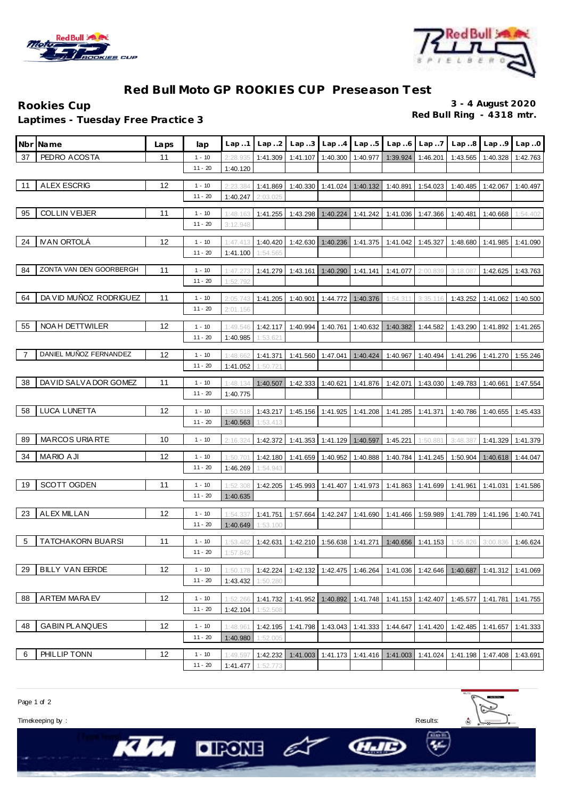



## **Red Bull Moto GP ROOKIES CUP Preseason Test**

**Red Bull Ring - 4318 mtr. Laptimes - Tuesday Free Practice 3**

**Rookies Cup 3 - 4 August 2020**

|                | Nbr¶Name                 | Laps | lap                   | Lap.1                | Lap.2                | Lap.3    | Lap.4    | Lap.5                      | Lap.6                                                                      | Lap.7             | Lap.8                                        | Lap.9             | Lap.0    |
|----------------|--------------------------|------|-----------------------|----------------------|----------------------|----------|----------|----------------------------|----------------------------------------------------------------------------|-------------------|----------------------------------------------|-------------------|----------|
| 37             | PEDRO ACOSTA             | 11   | $1 - 10$              | 2:28.935             | 1:41.309             | 1:41.107 | 1:40.300 | 1:40.977                   | 1:39.924                                                                   | 1:46.201          | 1:43.565                                     | 1:40.328          | 1:42.763 |
|                |                          |      | $11 - 20$             | 1:40.120             |                      |          |          |                            |                                                                            |                   |                                              |                   |          |
| 11             | <b>ALEX ESCRIG</b>       | 12   |                       |                      |                      |          |          |                            |                                                                            |                   |                                              |                   |          |
|                |                          |      | $1 - 10$<br>$11 - 20$ | 2:23.384<br>1:40.247 | 1:41.869<br>2:03.025 | 1:40.330 | 1:41.024 | 1:40.132                   | 1:40.891                                                                   | 1:54.023          | 1:40.485                                     | 1:42.067          | 1:40.497 |
|                |                          |      |                       |                      |                      |          |          |                            |                                                                            |                   |                                              |                   |          |
| 95             | <b>COLLIN VEIJER</b>     | 11   | $1 - 10$              | 1:48.163             | 1:41.255             | 1:43.298 | 1:40.224 | 1:41.242                   |                                                                            | 1:41.036 1:47.366 | 1:40.481                                     | 1:40.668          | 1:54.402 |
|                |                          |      | $11 - 20$             | 3:12.948             |                      |          |          |                            |                                                                            |                   |                                              |                   |          |
| 24             | <b>IVAN ORTOLA</b>       | 12   | $1 - 10$              | 1:47.413             | 1:40.420             | 1:42.630 | 1:40.236 | 1:41.375                   | 1:41.042                                                                   | 1:45.327          | 1:48.680                                     | 1:41.985          | 1:41.090 |
|                |                          |      | $11 - 20$             | 1:41.100             | 1:54.565             |          |          |                            |                                                                            |                   |                                              |                   |          |
|                |                          |      |                       |                      |                      |          |          |                            |                                                                            |                   |                                              |                   |          |
| 84             | ZONTA VAN DEN GOORBERGH  | 11   | $1 - 10$              | 1:47.273             | 1:41.279             | 1:43.161 | 1:40.290 | 1:41.141                   | 1:41.077                                                                   | 2:00.839          | 3:18.087                                     | 1:42.625          | 1:43.763 |
|                |                          |      | $11 - 20$             | 1:52.792             |                      |          |          |                            |                                                                            |                   |                                              |                   |          |
| 64             | DA VID MUÑOZ RODRIGUEZ   | 11   | $1 - 10$              | 2:05.743             | 1:41.205             | 1:40.901 | 1:44.772 | 1:40.376                   | 1:54.311                                                                   | 3:35.116          | 1:43.252                                     | 1:41.062          | 1:40.500 |
|                |                          |      | $11 - 20$             | 2:01.156             |                      |          |          |                            |                                                                            |                   |                                              |                   |          |
| 55             | NOA H DETTWILER          | 12   | $1 - 10$              | 1:49.546             | 1:42.117             | 1:40.994 | 1:40.761 | 1:40.632                   | 1:40.382                                                                   | 1:44.582          | 1:43.290                                     | 1:41.892          | 1:41.265 |
|                |                          |      | $11 - 20$             | 1:40.985             | 1:53.621             |          |          |                            |                                                                            |                   |                                              |                   |          |
|                |                          |      |                       |                      |                      |          |          |                            |                                                                            |                   |                                              |                   |          |
| $\overline{7}$ | DANIEL MUÑOZ FERNANDEZ   | 12   | $1 - 10$              | 1:48.662             | 1:41.371             | 1:41.560 | 1:47.041 | 1:40.424                   | 1:40.967                                                                   | 1:40.494          | 1:41.296                                     | 1:41.270          | 1:55.246 |
|                |                          |      | $11 - 20$             | 1:41.052             | 1:50.721             |          |          |                            |                                                                            |                   |                                              |                   |          |
| 38             | DAVID SALVADOR GOMEZ     | 11   | $1 - 10$              | 1:48.134             | 1:40.507             | 1:42.333 | 1:40.621 | 1:41.876                   | 1:42.071                                                                   | 1:43.030          | 1:49.783                                     | 1:40.661          | 1:47.554 |
|                |                          |      | $11 - 20$             | 1:40.775             |                      |          |          |                            |                                                                            |                   |                                              |                   |          |
|                |                          | 12   |                       |                      |                      |          |          |                            |                                                                            |                   |                                              |                   |          |
| 58             | LUCA LUNETTA             |      | $1 - 10$<br>$11 - 20$ | 1:50.518             | 1:43.217             | 1:45.156 | 1:41.925 | 1:41.208                   | 1:41.285                                                                   | 1:41.371          | 1:40.786                                     | 1:40.655          | 1:45.433 |
|                |                          |      |                       | 1:40.563             | 1:53.413             |          |          |                            |                                                                            |                   |                                              |                   |          |
| 89             | <b>MARCOS URIARTE</b>    | 10   | $1 - 10$              | 2:16.324             | 1:42.372             | 1:41.353 | 1:41.129 | 1:40.597                   | 1:45.221                                                                   | 1:50.881          | 3:48.387                                     | 1:41.329          | 1:41.379 |
| 34             | <b>MARIO AJI</b>         | 12   | $1 - 10$              | 1:50.701             | 1:42.180             | 1:41.659 | 1:40.952 | 1:40.888                   | 1:40.784                                                                   | 1:41.245          | 1:50.904                                     | 1:40.618          | 1:44.047 |
|                |                          |      | $11 - 20$             | 1:46.269             | 1:54.943             |          |          |                            |                                                                            |                   |                                              |                   |          |
|                |                          |      |                       |                      |                      |          |          |                            |                                                                            |                   |                                              |                   |          |
| 19             | SCOTT OGDEN              | 11   | $1 - 10$              | 1:52.30              | 1:42.205             | 1:45.993 | 1:41.407 | 1:41.973                   | 1:41.863                                                                   | 1:41.699          | 1:41.961                                     | 1:41.031          | 1:41.586 |
|                |                          |      | $11 - 20$             | 1:40.635             |                      |          |          |                            |                                                                            |                   |                                              |                   |          |
| 23             | <b>ALEX MILLAN</b>       | 12   | $1 - 10$              | 1:54.337             | 1:41.751             | 1:57.664 | 1:42.247 | 1:41.690                   | 1:41.466                                                                   | 1:59.989          | 1:41.789                                     | 1:41.196          | 1:40.741 |
|                |                          |      | $11 - 20$             | 1:40.649             | 1:53.100             |          |          |                            |                                                                            |                   |                                              |                   |          |
| 5              | <b>TATCHAKORN BUARSI</b> | 11   | $1 - 10$              | 1:53.482             | 1:42.631             | 1:42.210 | 1:56.638 | 1:41.271                   | 1:40.656                                                                   | 1:41.153          | 1:55.826                                     | 3:00.836          | 1:46.624 |
|                |                          |      | $11 - 20$             | 1:57.842             |                      |          |          |                            |                                                                            |                   |                                              |                   |          |
|                |                          |      |                       |                      |                      |          |          |                            |                                                                            |                   |                                              |                   |          |
| 29             | <b>BILLY VAN EERDE</b>   | 12   | $1 - 10$              | 1:50.178             | 1:42.224             |          |          | 1:42.132 1:42.475 1:46.264 |                                                                            |                   | 1:41.036 1:42.646 1:40.687 1:41.312 1:41.069 |                   |          |
|                |                          |      | $11 - 20$             | 1:43.432             | 1:50.280             |          |          |                            |                                                                            |                   |                                              |                   |          |
| 88             | ARTEM MARA EV            | 12   | $1 - 10$              | 1:52.266             | 1:41.732             | 1:41.952 |          | 1:40.892 1:41.748          |                                                                            | 1:41.153 1:42.407 |                                              | 1:45.577 1:41.781 | 1:41.755 |
|                |                          |      | $11 - 20$             | 1:42.104             | 1:52.508             |          |          |                            |                                                                            |                   |                                              |                   |          |
|                |                          | 12   |                       |                      |                      |          |          |                            |                                                                            |                   |                                              |                   |          |
| 48             | <b>GABIN PLANQUES</b>    |      | $1 - 10$              | 1:48.961             | 1:42.195             |          |          | 1:41.798 1:43.043 1:41.333 | 1:44.647                                                                   | 1:41.420          |                                              | 1:42.485 1:41.657 | 1:41.333 |
|                |                          |      | $11 - 20$             | 1:40.980             | 1:52.005             |          |          |                            |                                                                            |                   |                                              |                   |          |
| 6              | PHILLIP TONN             | 12   | $1 - 10$              | 1:49.597             | 1:42.232             |          |          |                            | 1:41.003   1:41.173   1:41.416   1:41.003   1:41.024   1:41.198   1:47.408 |                   |                                              |                   | 1:43.691 |
|                |                          |      | $11 - 20$             |                      | 1:41.477 1:52.773    |          |          |                            |                                                                            |                   |                                              |                   |          |

Page 1 of 2

Timekeeping by : Results:

**KIM** 

 $OIFORB \n\subset$ 



HIE